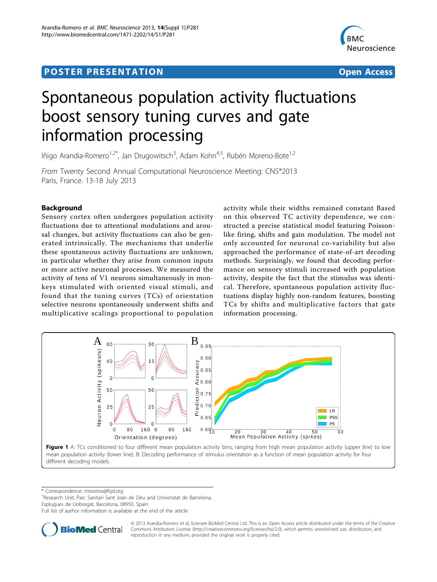# <span id="page-0-0"></span>**POSTER PRESENTATION CONSUMING THE SERVICE SERVICE SERVICES**



# Spontaneous population activity fluctuations boost sensory tuning curves and gate information processing

Iñigo Arandia-Romero<sup>1,2\*</sup>, Jan Drugowitsch<sup>3</sup>, Adam Kohn<sup>4,5</sup>, Rubén Moreno-Bote<sup>1,2</sup>

From Twenty Second Annual Computational Neuroscience Meeting: CNS\*2013 Paris, France. 13-18 July 2013

# Background

Sensory cortex often undergoes population activity fluctuations due to attentional modulations and arousal changes, but activity fluctuations can also be generated intrinsically. The mechanisms that underlie these spontaneous activity fluctuations are unknown, in particular whether they arise from common inputs or more active neuronal processes. We measured the activity of tens of V1 neurons simultaneously in monkeys stimulated with oriented visual stimuli, and found that the tuning curves (TCs) of orientation selective neurons spontaneously underwent shifts and multiplicative scalings proportional to population

activity while their widths remained constant Based on this observed TC activity dependence, we constructed a precise statistical model featuring Poissonlike firing, shifts and gain modulation. The model not only accounted for neuronal co-variability but also approached the performance of state-of-art decoding methods. Surprisingly, we found that decoding performance on sensory stimuli increased with population activity, despite the fact that the stimulus was identical. Therefore, spontaneous population activity fluctuations display highly non-random features, boosting TCs by shifts and multiplicative factors that gate information processing.



different decoding models.

\* Correspondence: [rmoreno@fsjd.org](mailto:rmoreno@fsjd.org)

<sup>1</sup> Research Unit, Parc Sanitari Sant Joan de Deu and Universitat de Barcelona, Esplugues de Llobregat, Barcelona, 08950, Spain

Full list of author information is available at the end of the article



© 2013 Arandia-Romero et al; licensee BioMed Central Ltd. This is an Open Access article distributed under the terms of the Creative Commons Attribution License [\(http://creativecommons.org/licenses/by/2.0](http://creativecommons.org/licenses/by/2.0)), which permits unrestricted use, distribution, and reproduction in any medium, provided the original work is properly cited.